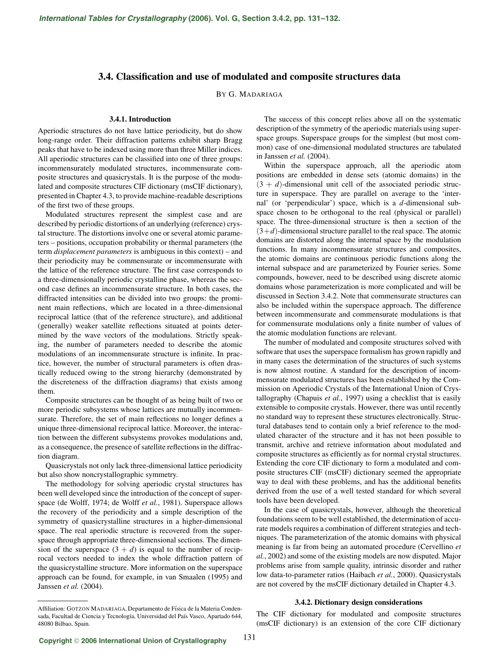# **3.4. Classification and use of modulated and composite structures data**

BY G. MADARIAGA

## **3.4.1. Introduction**

Aperiodic structures do not have lattice periodicity, but do show long-range order. Their diffraction patterns exhibit sharp Bragg peaks that have to be indexed using more than three Miller indices. All aperiodic structures can be classified into one of three groups: incommensurately modulated structures, incommensurate composite structures and quasicrystals. It is the purpose of the modulated and composite structures CIF dictionary (msCIF dictionary), presented in Chapter 4.3, to provide machine-readable descriptions of the first two of these groups.

Modulated structures represent the simplest case and are described by periodic distortions of an underlying (reference) crystal structure. The distortions involve one or several atomic parameters – positions, occupation probability or thermal parameters (the term *displacement parameters* is ambiguous in this context) – and their periodicity may be commensurate or incommensurate with the lattice of the reference structure. The first case corresponds to a three-dimensionally periodic crystalline phase, whereas the second case defines an incommensurate structure. In both cases, the diffracted intensities can be divided into two groups: the prominent main reflections, which are located in a three-dimensional reciprocal lattice (that of the reference structure), and additional (generally) weaker satellite reflections situated at points determined by the wave vectors of the modulations. Strictly speaking, the number of parameters needed to describe the atomic modulations of an incommensurate structure is infinite. In practice, however, the number of structural parameters is often drastically reduced owing to the strong hierarchy (demonstrated by the discreteness of the diffraction diagrams) that exists among them.

Composite structures can be thought of as being built of two or more periodic subsystems whose lattices are mutually incommensurate. Therefore, the set of main reflections no longer defines a unique three-dimensional reciprocal lattice. Moreover, the interaction between the different subsystems provokes modulations and, as a consequence, the presence of satellite reflections in the diffraction diagram.

Quasicrystals not only lack three-dimensional lattice periodicity but also show noncrystallographic symmetry.

The methodology for solving aperiodic crystal structures has been well developed since the introduction of the concept of superspace (de Wolff, 1974; de Wolff *et al.*, 1981). Superspace allows the recovery of the periodicity and a simple description of the symmetry of quasicrystalline structures in a higher-dimensional space. The real aperiodic structure is recovered from the superspace through appropriate three-dimensional sections. The dimension of the superspace  $(3 + d)$  is equal to the number of reciprocal vectors needed to index the whole diffraction pattern of the quasicrystalline structure. More information on the superspace approach can be found, for example, in van Smaalen (1995) and Janssen *et al.* (2004).

The success of this concept relies above all on the systematic description of the symmetry of the aperiodic materials using superspace groups. Superspace groups for the simplest (but most common) case of one-dimensional modulated structures are tabulated in Janssen *et al.* (2004).

Within the superspace approach, all the aperiodic atom positions are embedded in dense sets (atomic domains) in the  $(3 + d)$ -dimensional unit cell of the associated periodic structure in superspace. They are parallel on average to the 'internal' (or 'perpendicular') space, which is a *d*-dimensional subspace chosen to be orthogonal to the real (physical or parallel) space. The three-dimensional structure is then a section of the  $(3+d)$ -dimensional structure parallel to the real space. The atomic domains are distorted along the internal space by the modulation functions. In many incommensurate structures and composites, the atomic domains are continuous periodic functions along the internal subspace and are parameterized by Fourier series. Some compounds, however, need to be described using discrete atomic domains whose parameterization is more complicated and will be discussed in Section 3.4.2. Note that commensurate structures can also be included within the superspace approach. The difference between incommensurate and commensurate modulations is that for commensurate modulations only a finite number of values of the atomic modulation functions are relevant.

The number of modulated and composite structures solved with software that uses the superspace formalism has grown rapidly and in many cases the determination of the structures of such systems is now almost routine. A standard for the description of incommensurate modulated structures has been established by the Commission on Aperiodic Crystals of the International Union of Crystallography (Chapuis *et al.*, 1997) using a checklist that is easily extensible to composite crystals. However, there was until recently no standard way to represent these structures electronically. Structural databases tend to contain only a brief reference to the modulated character of the structure and it has not been possible to transmit, archive and retrieve information about modulated and composite structures as efficiently as for normal crystal structures. Extending the core CIF dictionary to form a modulated and composite structures CIF (msCIF) dictionary seemed the appropriate way to deal with these problems, and has the additional benefits derived from the use of a well tested standard for which several tools have been developed.

In the case of quasicrystals, however, although the theoretical foundations seem to be well established, the determination of accurate models requires a combination of different strategies and techniques. The parameterization of the atomic domains with physical meaning is far from being an automated procedure (Cervellino *et al.*, 2002) and some of the existing models are now disputed. Major problems arise from sample quality, intrinsic disorder and rather low data-to-parameter ratios (Haibach *et al.*, 2000). Quasicrystals are not covered by the msCIF dictionary detailed in Chapter 4.3.

### **3.4.2. Dictionary design considerations**

The CIF dictionary for modulated and composite structures (msCIF dictionary) is an extension of the core CIF dictionary

Affiliation: GOTZON MADARIAGA, Departamento de Física de la Materia Condensada, Facultad de Ciencia y Tecnología, Universidad del País Vasco, Apartado 644, 48080 Bilbao, Spain.